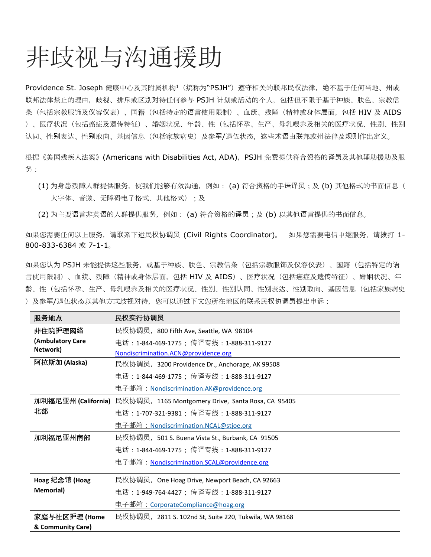## 非歧视与沟通援助

Providence St. Joseph 健康中心及其附属机构1 (统称为"PSJH") 遵守相关的联邦民权法律, 绝不基于任何当地、州或 联邦法律禁止的理由,歧视、排斥或区别对待任何参与 PSJH 计划或活动的个人,包括但不限于基于种族、肤色、宗教信 条(包括宗教服饰及仪容仪表)、国籍(包括特定的语言使用限制)、血统、残障(精神或身体层面,包括 HIV 及 AIDS )、医疗状况(包括癌症及遗传特征)、婚姻状况、年龄、性(包括怀孕、生产、母乳喂养及相关的医疗状况、性别、性别 认同、性别表达、性别取向、基因信息(包括家族病史)及参军/退伍状态,这些术语由联邦或州法律及规则作出定义。

根据《美国残疾人法案》(Americans with Disabilities Act, ADA),PSJH 免费提供符合资格的译员及其他辅助援助及服 务:

(1) 为身患残障人群提供服务, 使我们能够有效沟通, 例如: (a) 符合资格的手语译员; 及 (b) 其他格式的书面信息( 大字体、音频、无障碍电子格式、其他格式);及

(2) 为主要语言非英语的人群提供服务, 例如: (a) 符合资格的译员; 及 (b) 以其他语言提供的书面信息。

如果您需要任何以上服务,请联系下述民权协调员 (Civil Rights Coordinator)。 如果您需要电信中继服务,请拨打 1- 800-833-6384 或 7-1-1。

如果您认为 PSJH 未能提供这些服务,或基于种族、肤色、宗教信条(包括宗教服饰及仪容仪表)、国籍(包括特定的语 言使用限制)、血统、残障(精神或身体层面,包括 HIV 及 AIDS)、医疗状况(包括癌症及遗传特征)、婚姻状况、年 龄、性(包括怀孕、生产、母乳喂养及相关的医疗状况、性别、性别认同、性别表达、性别取向、基因信息(包括家族病史 )及参军/退伍状态以其他方式歧视对待,您可以通过下文您所在地区的联系民权协调员提出申诉:

| 服务地点              | 民权实行协调员                                                               |
|-------------------|-----------------------------------------------------------------------|
| 非住院护理网络           | 民权协调员, 800 Fifth Ave, Seattle, WA 98104                               |
| (Ambulatory Care  | 电话:1-844-469-1775;传译专线:1-888-311-9127                                 |
| Network)          | Nondiscrimination.ACN@providence.org                                  |
| 阿拉斯加 (Alaska)     | 民权协调员, 3200 Providence Dr., Anchorage, AK 99508                       |
|                   | 电话: 1-844-469-1775; 传译专线: 1-888-311-9127                              |
|                   | 电子邮箱: <u>Nondiscrimination.AK@providence.org</u>                      |
|                   | 加利福尼亚州 (California) 民权协调员,1165 Montgomery Drive, Santa Rosa, CA 95405 |
| 北部                | 电话:1-707-321-9381;传译专线:1-888-311-9127                                 |
|                   | 电子邮 <u>箱:Nondiscrimination.NCAL@stjoe.org</u>                         |
| 加利福尼亚州南部          | 民权协调员, 501 S. Buena Vista St., Burbank, CA 91505                      |
|                   | 电话: 1-844-469-1775; 传译专线: 1-888-311-9127                              |
|                   | 电子邮箱: <u>Nondiscrimination.SCAL@providence.org</u>                    |
|                   |                                                                       |
| Hoag 纪念馆 (Hoag    | 民权协调员, One Hoag Drive, Newport Beach, CA 92663                        |
| <b>Memorial</b> ) | 电话:1-949-764-4427; 传译专线:1-888-311-9127                                |
|                   | <b>电子邮箱: CorporateCompliance@hoag.org</b>                             |
| 家庭与社区护理 (Home     | 民权协调员, 2811 S. 102nd St, Suite 220, Tukwila, WA 98168                 |
| & Community Care) |                                                                       |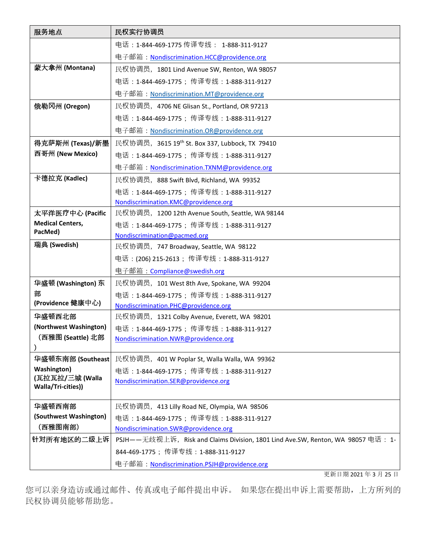| 服务地点                                   | 民权实行协调员                                                                          |
|----------------------------------------|----------------------------------------------------------------------------------|
|                                        | 电话: 1-844-469-1775 传译专线: 1-888-311-9127                                          |
|                                        | 电子邮箱: Nondiscrimination.HCC@providence.org                                       |
| 蒙大拿州 (Montana)                         | 民权协调员, 1801 Lind Avenue SW, Renton, WA 98057                                     |
|                                        | 电话: 1-844-469-1775; 传译专线: 1-888-311-9127                                         |
|                                        | 电子邮箱: Nondiscrimination.MT@providence.org                                        |
| 俄勒冈州 (Oregon)                          | 民权协调员, 4706 NE Glisan St., Portland, OR 97213                                    |
|                                        | 电话:1-844-469-1775; 传译专线:1-888-311-9127                                           |
|                                        | 电子邮箱: <u>Nondiscrimination.OR@providence.org</u>                                 |
| 得克萨斯州 (Texas)/新墨                       | 民权协调员, 3615 19 <sup>th</sup> St. Box 337, Lubbock, TX 79410                      |
| 西哥州 (New Mexico)                       | 电话:1-844-469-1775; 传译专线:1-888-311-9127                                           |
|                                        | 电子邮箱: Nondiscrimination.TXNM@providence.org                                      |
| 卡德拉克 (Kadlec)                          | 民权协调员, 888 Swift Blvd, Richland, WA 99352                                        |
|                                        | 电话: 1-844-469-1775; 传译专线: 1-888-311-9127                                         |
|                                        | Nondiscrimination.KMC@providence.org                                             |
| 太平洋医疗中心 (Pacific                       | 民权协调员, 1200 12th Avenue South, Seattle, WA 98144                                 |
| <b>Medical Centers,</b><br>PacMed)     | 电话: 1-844-469-1775; 传译专线: 1-888-311-9127                                         |
| 瑞典 (Swedish)                           | Nondiscrimination@pacmed.org                                                     |
|                                        | 民权协调员, 747 Broadway, Seattle, WA 98122                                           |
|                                        | 电话:(206) 215-2613;传译专线:1-888-311-9127                                            |
|                                        | 电子邮箱: Compliance@swedish.org                                                     |
| 华盛顿 (Washington) 东<br>部                | 民权协调员, 101 West 8th Ave, Spokane, WA 99204                                       |
| (Providence 健康中心)                      | 电话:1-844-469-1775; 传译专线:1-888-311-9127<br>Nondiscrimination.PHC@providence.org   |
| 华盛顿西北部                                 | 民权协调员, 1321 Colby Avenue, Everett, WA 98201                                      |
| (Northwest Washington)                 | 电话:1-844-469-1775;传译专线:1-888-311-9127                                            |
| 【西雅图 (Seattle) 北部                      | Nondiscrimination.NWR@providence.org                                             |
|                                        |                                                                                  |
| 华盛顿东南部 (Southeast                      | 民权协调员, 401 W Poplar St, Walla Walla, WA 99362                                    |
| <b>Washington</b> )<br>(瓦拉瓦拉/三城 (Walla | 电话:1-844-469-1775;传译专线:1-888-311-9127                                            |
| Walla/Tri-cities))                     | Nondiscrimination.SER@providence.org                                             |
|                                        |                                                                                  |
| 华盛顿西南部                                 | 民权协调员, 413 Lilly Road NE, Olympia, WA 98506                                      |
| (Southwest Washington)<br>(西雅图南部)      | 电话: 1-844-469-1775; 传译专线: 1-888-311-9127                                         |
|                                        | Nondiscrimination.SWR@providence.org                                             |
| 针对所有地区的二级上诉                            | PSJH——无歧视上诉, Risk and Claims Division, 1801 Lind Ave.SW, Renton, WA 98057 电话: 1- |
|                                        | 844-469-1775; 传译专线: 1-888-311-9127                                               |
|                                        | 电子邮箱: <u>Nondiscrimination.PSJH@providence.org</u>                               |

更新日期 2021 年 3 月 25 日

您可以亲身造访或通过邮件、传真或电子邮件提出申诉。 如果您在提出申诉上需要帮助,上方所列的 民权协调员能够帮助您。